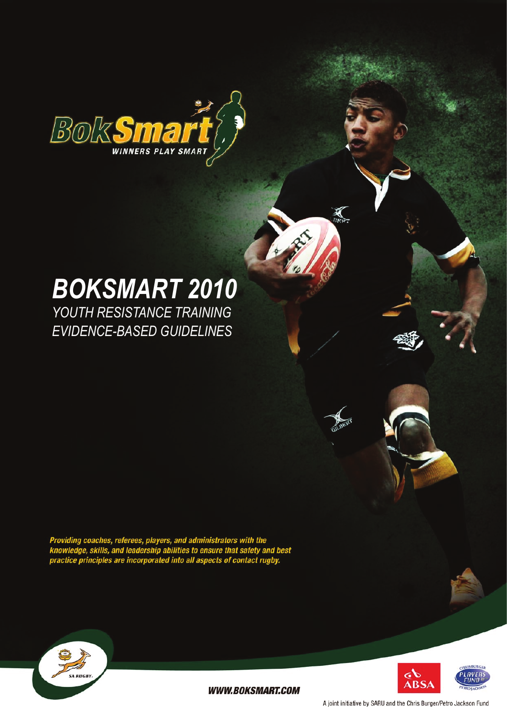

# *BokSmart 2010*

*Youth Resistance Training Evidence-Based Guidelines*

Providing coaches, referees, players, and administrators with the<br>knowledge, skills, and leadership abilities to ensure that safety and best<br>practice principles are incorporated into all aspects of contact rugby.





**WWW.BOKSMART.COM** 

A joint initiative by SARU and the Chris Burger/Petro Jackson Fund

BERT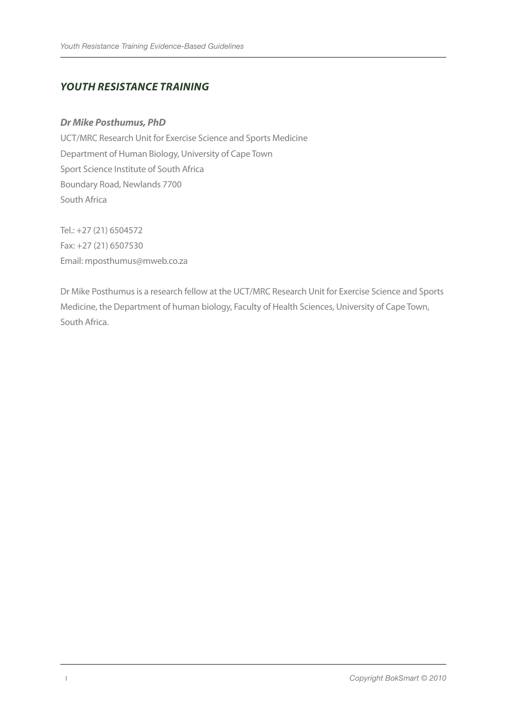# *Youth Resistance Training*

#### *Dr Mike Posthumus, PhD*

UCT/MRC Research Unit for Exercise Science and Sports Medicine Department of Human Biology, University of Cape Town Sport Science Institute of South Africa Boundary Road, Newlands 7700 South Africa

Tel.: +27 (21) 6504572 Fax: +27 (21) 6507530 Email: mposthumus@mweb.co.za

Dr Mike Posthumus is a research fellow at the UCT/MRC Research Unit for Exercise Science and Sports Medicine, the Department of human biology, Faculty of Health Sciences, University of Cape Town, South Africa.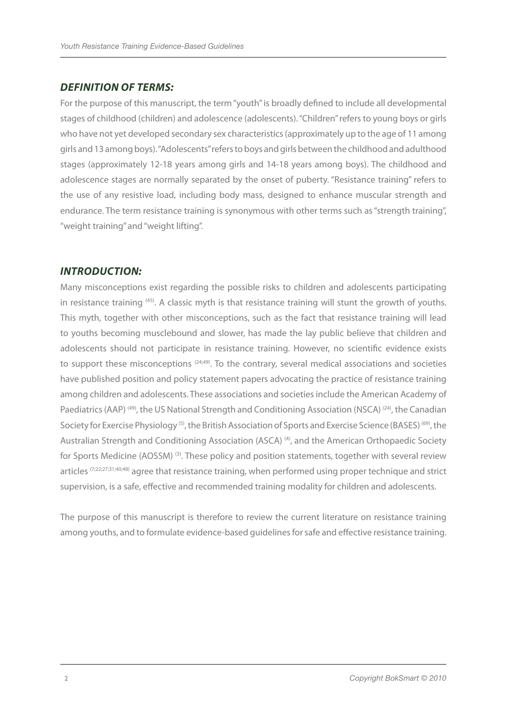## *DEFINITION OF TERMS:*

For the purpose of this manuscript, the term "youth" is broadly defined to include all developmental stages of childhood (children) and adolescence (adolescents). "Children" refers to young boys or girls who have not yet developed secondary sex characteristics (approximately up to the age of 11 among girls and 13 among boys). "Adolescents" refers to boys and girls between the childhood and adulthood stages (approximately 12-18 years among girls and 14-18 years among boys). The childhood and adolescence stages are normally separated by the onset of puberty. "Resistance training" refers to the use of any resistive load, including body mass, designed to enhance muscular strength and endurance. The term resistance training is synonymous with other terms such as "strength training", "weight training" and "weight lifting".

## *INTRODUCTION:*

Many misconceptions exist regarding the possible risks to children and adolescents participating in resistance training (45). A classic myth is that resistance training will stunt the growth of youths. This myth, together with other misconceptions, such as the fact that resistance training will lead to youths becoming musclebound and slower, has made the lay public believe that children and adolescents should not participate in resistance training. However, no scientific evidence exists to support these misconceptions <sup>(24;49)</sup>. To the contrary, several medical associations and societies have published position and policy statement papers advocating the practice of resistance training among children and adolescents. These associations and societies include the American Academy of Paediatrics (AAP)<sup>(49)</sup>, the US National Strength and Conditioning Association (NSCA)<sup>(24)</sup>, the Canadian Society for Exercise Physiology<sup>(5)</sup>, the British Association of Sports and Exercise Science (BASES)<sup>(69)</sup>, the Australian Strength and Conditioning Association (ASCA)<sup>(4)</sup>, and the American Orthopaedic Society for Sports Medicine (AOSSM)<sup>(3)</sup>. These policy and position statements, together with several review articles (7;22;27;31;40;48) agree that resistance training, when performed using proper technique and strict supervision, is a safe, effective and recommended training modality for children and adolescents.

The purpose of this manuscript is therefore to review the current literature on resistance training among youths, and to formulate evidence-based guidelines for safe and effective resistance training.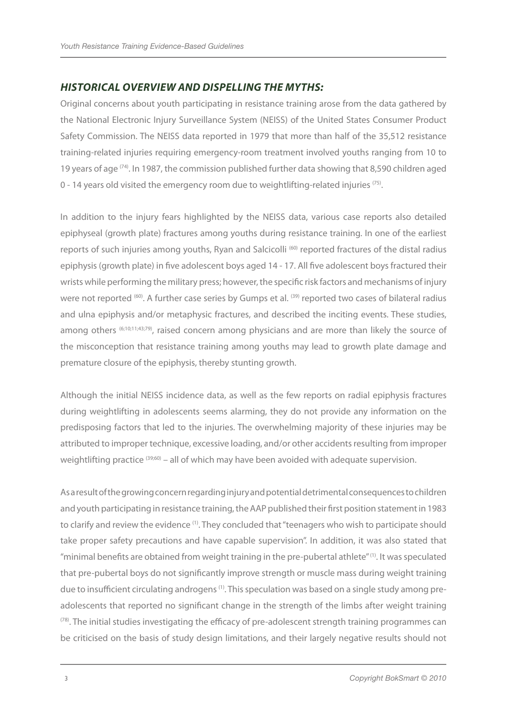# *HISTORICAL OVERVIEW AND DISPELLING THE MYTHS:*

Original concerns about youth participating in resistance training arose from the data gathered by the National Electronic Injury Surveillance System (NEISS) of the United States Consumer Product Safety Commission. The NEISS data reported in 1979 that more than half of the 35,512 resistance training-related injuries requiring emergency-room treatment involved youths ranging from 10 to 19 years of age  $(74)$ . In 1987, the commission published further data showing that 8,590 children aged 0 - 14 years old visited the emergency room due to weightlifting-related injuries  $(75)$ .

In addition to the injury fears highlighted by the NEISS data, various case reports also detailed epiphyseal (growth plate) fractures among youths during resistance training. In one of the earliest reports of such injuries among youths, Ryan and Salcicolli<sup>(60)</sup> reported fractures of the distal radius epiphysis (growth plate) in five adolescent boys aged 14 - 17. All five adolescent boys fractured their wrists while performing the military press; however, the specific risk factors and mechanisms of injury were not reported <sup>(60)</sup>. A further case series by Gumps et al. <sup>(39)</sup> reported two cases of bilateral radius and ulna epiphysis and/or metaphysic fractures, and described the inciting events. These studies, among others (6;10;11;43;79), raised concern among physicians and are more than likely the source of the misconception that resistance training among youths may lead to growth plate damage and premature closure of the epiphysis, thereby stunting growth.

Although the initial NEISS incidence data, as well as the few reports on radial epiphysis fractures during weightlifting in adolescents seems alarming, they do not provide any information on the predisposing factors that led to the injuries. The overwhelming majority of these injuries may be attributed to improper technique, excessive loading, and/or other accidents resulting from improper weightlifting practice (39;60) – all of which may have been avoided with adequate supervision.

As a result of the growing concern regarding injury and potential detrimental consequences to children and youth participating in resistance training, the AAP published their first position statement in 1983 to clarify and review the evidence <sup>(1)</sup>. They concluded that "teenagers who wish to participate should take proper safety precautions and have capable supervision". In addition, it was also stated that "minimal benefits are obtained from weight training in the pre-pubertal athlete" (1). It was speculated that pre-pubertal boys do not significantly improve strength or muscle mass during weight training due to insufficient circulating androgens<sup>(1)</sup>. This speculation was based on a single study among preadolescents that reported no significant change in the strength of the limbs after weight training  $<sup>(78)</sup>$ . The initial studies investigating the efficacy of pre-adolescent strength training programmes can</sup> be criticised on the basis of study design limitations, and their largely negative results should not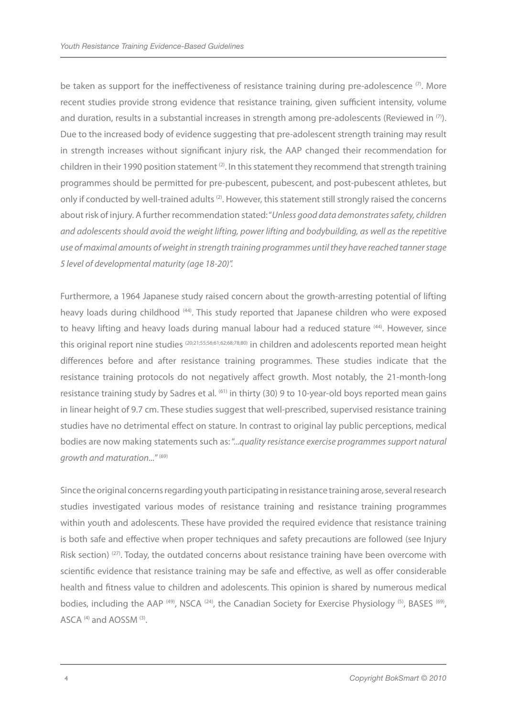be taken as support for the ineffectiveness of resistance training during pre-adolescence  $\sigma$ . More recent studies provide strong evidence that resistance training, given sufficient intensity, volume and duration, results in a substantial increases in strength among pre-adolescents (Reviewed in  $(7)$ ). Due to the increased body of evidence suggesting that pre-adolescent strength training may result in strength increases without significant injury risk, the AAP changed their recommendation for children in their 1990 position statement  $(2)$ . In this statement they recommend that strength training programmes should be permitted for pre-pubescent, pubescent, and post-pubescent athletes, but only if conducted by well-trained adults<sup>(2)</sup>. However, this statement still strongly raised the concerns about risk of injury. A further recommendation stated: "*Unless good data demonstrates safety, children and adolescents should avoid the weight lifting, power lifting and bodybuilding, as well as the repetitive use of maximal amounts of weight in strength training programmes until they have reached tanner stage 5 level of developmental maturity (age 18-20)".*

Furthermore, a 1964 Japanese study raised concern about the growth-arresting potential of lifting heavy loads during childhood (44). This study reported that Japanese children who were exposed to heavy lifting and heavy loads during manual labour had a reduced stature <sup>(44)</sup>. However, since this original report nine studies (20;21;55;56;61;62;68;78;80) in children and adolescents reported mean height differences before and after resistance training programmes. These studies indicate that the resistance training protocols do not negatively affect growth. Most notably, the 21-month-long resistance training study by Sadres et al. <sup>(61)</sup> in thirty (30) 9 to 10-year-old boys reported mean gains in linear height of 9.7 cm. These studies suggest that well-prescribed, supervised resistance training studies have no detrimental effect on stature. In contrast to original lay public perceptions, medical bodies are now making statements such as: "...*quality resistance exercise programmes support natural growth and maturation...*" (69)

Since the original concerns regarding youth participating in resistance training arose, several research studies investigated various modes of resistance training and resistance training programmes within youth and adolescents. These have provided the required evidence that resistance training is both safe and effective when proper techniques and safety precautions are followed (see Injury Risk section)<sup>(27)</sup>. Today, the outdated concerns about resistance training have been overcome with scientific evidence that resistance training may be safe and effective, as well as offer considerable health and fitness value to children and adolescents. This opinion is shared by numerous medical bodies, including the AAP<sup>(49)</sup>, NSCA<sup>(24)</sup>, the Canadian Society for Exercise Physiology<sup>(5)</sup>, BASES<sup>(69)</sup>, ASCA<sup>(4)</sup> and AOSSM<sup>(3)</sup>.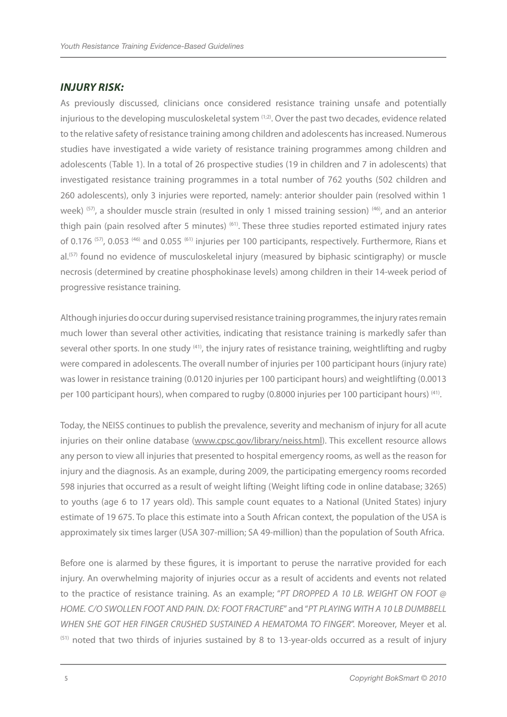## *INJURY RISK:*

As previously discussed, clinicians once considered resistance training unsafe and potentially injurious to the developing musculoskeletal system <sup>(1;2)</sup>. Over the past two decades, evidence related to the relative safety of resistance training among children and adolescents has increased. Numerous studies have investigated a wide variety of resistance training programmes among children and adolescents (Table 1). In a total of 26 prospective studies (19 in children and 7 in adolescents) that investigated resistance training programmes in a total number of 762 youths (502 children and 260 adolescents), only 3 injuries were reported, namely: anterior shoulder pain (resolved within 1 week) (57), a shoulder muscle strain (resulted in only 1 missed training session) (46), and an anterior thigh pain (pain resolved after 5 minutes) <sup>(61)</sup>. These three studies reported estimated injury rates of 0.176<sup>(57)</sup>, 0.053<sup>(46)</sup> and 0.055<sup>(61)</sup> injuries per 100 participants, respectively. Furthermore, Rians et al.<sup>(57)</sup> found no evidence of musculoskeletal injury (measured by biphasic scintigraphy) or muscle necrosis (determined by creatine phosphokinase levels) among children in their 14-week period of progressive resistance training.

Although injuries do occur during supervised resistance training programmes, the injury rates remain much lower than several other activities, indicating that resistance training is markedly safer than several other sports. In one study <sup>(41)</sup>, the injury rates of resistance training, weightlifting and rugby were compared in adolescents. The overall number of injuries per 100 participant hours (injury rate) was lower in resistance training (0.0120 injuries per 100 participant hours) and weightlifting (0.0013 per 100 participant hours), when compared to rugby (0.8000 injuries per 100 participant hours) (41).

Today, the NEISS continues to publish the prevalence, severity and mechanism of injury for all acute injuries on their online database (www.cpsc.gov/library/neiss.html). This excellent resource allows any person to view all injuries that presented to hospital emergency rooms, as well as the reason for injury and the diagnosis. As an example, during 2009, the participating emergency rooms recorded 598 injuries that occurred as a result of weight lifting (Weight lifting code in online database; 3265) to youths (age 6 to 17 years old). This sample count equates to a National (United States) injury estimate of 19 675. To place this estimate into a South African context, the population of the USA is approximately six times larger (USA 307-million; SA 49-million) than the population of South Africa.

Before one is alarmed by these figures, it is important to peruse the narrative provided for each injury. An overwhelming majority of injuries occur as a result of accidents and events not related to the practice of resistance training. As an example; "*PT DROPPED A 10 LB. WEIGHT ON FOOT @ HOME. C/O SWOLLEN FOOT AND PAIN. DX: FOOT FRACTURE*" and "*PT PLAYING WITH A 10 LB DUMBBELL WHEN SHE GOT HER FINGER CRUSHED SUSTAINED A HEMATOMA TO FINGER*". Moreover, Meyer et al.  $<sup>(51)</sup>$  noted that two thirds of injuries sustained by 8 to 13-year-olds occurred as a result of injury</sup>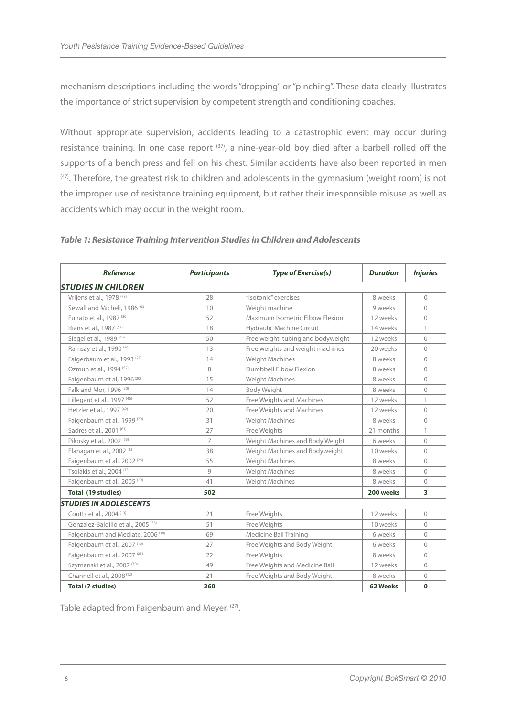mechanism descriptions including the words "dropping" or "pinching". These data clearly illustrates the importance of strict supervision by competent strength and conditioning coaches.

Without appropriate supervision, accidents leading to a catastrophic event may occur during resistance training. In one case report <sup>(37)</sup>, a nine-year-old boy died after a barbell rolled off the supports of a bench press and fell on his chest. Similar accidents have also been reported in men (47). Therefore, the greatest risk to children and adolescents in the gymnasium (weight room) is not the improper use of resistance training equipment, but rather their irresponsible misuse as well as accidents which may occur in the weight room.

| <b>Reference</b>                             | <b>Participants</b> | <b>Type of Exercise(s)</b>         | <b>Duration</b> | <b>Injuries</b>         |
|----------------------------------------------|---------------------|------------------------------------|-----------------|-------------------------|
| <b>STUDIES IN CHILDREN</b>                   |                     |                                    |                 |                         |
| Vrijens et al., 1978 (78)                    | 28                  | "Isotonic" exercises               | 8 weeks         | $\mathbf{0}$            |
| Sewall and Micheli, 1986 (65)                | 10                  | Weight machine                     | 9 weeks         | $\bigcap$               |
| Funato et al., 1987 <sup>(36)</sup>          | 52                  | Maximum Isometric Elbow Flexion    | 12 weeks        | $\Omega$                |
| Rians et al., 1987 <sup>(57)</sup>           | 18                  | Hydraulic Machine Circuit          | 14 weeks        |                         |
| Siegel et al., 1989 (68)                     | 50                  | Free weight, tubing and bodyweight | 12 weeks        | $\Omega$                |
| Ramsay et al., 1990 <sup>(56)</sup>          | 13                  | Free weights and weight machines   | 20 weeks        | $\bigcap$               |
| Faigerbaum et al., 1993 <sup>(21)</sup>      | 14                  | Weight Machines                    | 8 weeks         | $\Omega$                |
| Ozmun et al., 1994 (52)                      | 8                   | <b>Dumbbell Elbow Flexion</b>      | 8 weeks         | $\overline{0}$          |
| Faigenbaum et al, 1996 <sup>(20)</sup>       | 15                  | Weight Machines                    | 8 weeks         | $\Omega$                |
| Falk and Mor, 1996 <sup>(30)</sup>           | 14                  | <b>Body Weight</b>                 | 8 weeks         | $\overline{0}$          |
| Lillegard et al., 1997 (46)                  | 52                  | Free Weights and Machines          | 12 weeks        | 1                       |
| Hetzler et al., 1997 (42)                    | 20                  | Free Weights and Machines          | 12 weeks        | $\bigcap$               |
| Faigenbaum et al., 1999 <sup>(29)</sup>      | 31                  | Weight Machines                    | 8 weeks         | $\overline{0}$          |
| Sadres et al., 2001 <sup>(61)</sup>          | 27                  | Free Weights                       | 21 months       | 1                       |
| Pikosky et al., 2002 <sup>(55)</sup>         | $\overline{7}$      | Weight Machines and Body Weight    | 6 weeks         | $\Omega$                |
| Flanagan et al., 2002 <sup>(33)</sup>        | 38                  | Weight Machines and Bodyweight     | 10 weeks        | $\overline{0}$          |
| Faigenbaum et al., 2002 <sup>(26)</sup>      | 55                  | Weight Machines                    | 8 weeks         | $\mathbf{0}$            |
| Tsolakis et al., 2004 <sup>(73)</sup>        | 9                   | Weight Machines                    | 8 weeks         | $\bigcap$               |
| Faigenbaum et al., 2005 <sup>(19)</sup>      | 41                  | Weight Machines                    | 8 weeks         | $\overline{0}$          |
| Total (19 studies)                           | 502                 |                                    | 200 weeks       | $\overline{\mathbf{3}}$ |
| <b>STUDIES IN ADOLESCENTS</b>                |                     |                                    |                 |                         |
| Coutts et al., 2004 (13)                     | 21                  | Free Weights                       | 12 weeks        | $\Omega$                |
| Gonzalez-Baldillo et al., 2005 (38)          | 51                  | Free Weights                       | 10 weeks        | $\Omega$                |
| Faigenbaum and Mediate, 2006 <sup>(18)</sup> | 69                  | Medicine Ball Training             | 6 weeks         | $\overline{0}$          |
| Faigenbaum et al., 2007 (16)                 | 27                  | Free Weights and Body Weight       | 6 weeks         | $\Omega$                |
| Faigenbaum et al., 2007 <sup>(25)</sup>      | 22                  | Free Weights                       | 8 weeks         | $\overline{0}$          |
| Szymanski et al., 2007 <sup>(70)</sup>       | 49                  | Free Weights and Medicine Ball     | 12 weeks        | $\Omega$                |
| Channell et al., 2008 <sup>(12)</sup>        | 21                  | Free Weights and Body Weight       | 8 weeks         | $\bigcap$               |
| <b>Total (7 studies)</b>                     | 260                 |                                    | 62 Weeks        | $\mathbf 0$             |

#### *Table 1: Resistance Training Intervention Studies in Children and Adolescents*

Table adapted from Faigenbaum and Meyer, <sup>(27)</sup>.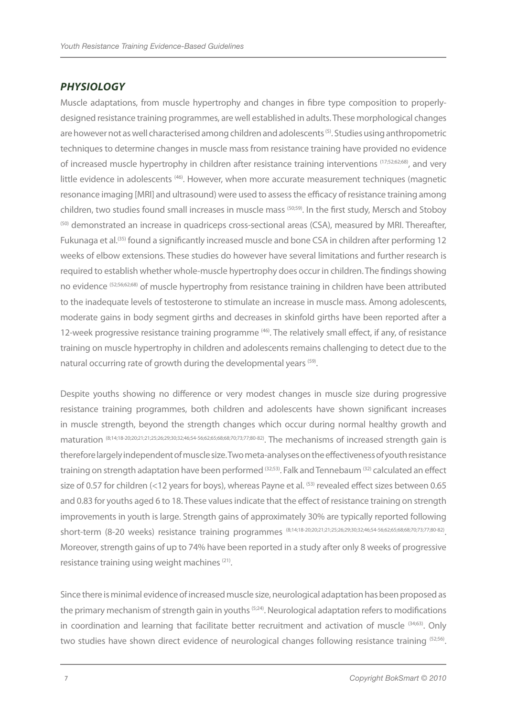## *PHYSIOLOGY*

Muscle adaptations, from muscle hypertrophy and changes in fibre type composition to properlydesigned resistance training programmes, are well established in adults. These morphological changes are however not as well characterised among children and adolescents<sup>(5)</sup>. Studies using anthropometric techniques to determine changes in muscle mass from resistance training have provided no evidence of increased muscle hypertrophy in children after resistance training interventions (17;52;62;68), and very little evidence in adolescents<sup>(46)</sup>. However, when more accurate measurement techniques (magnetic resonance imaging [MRI] and ultrasound) were used to assess the efficacy of resistance training among children, two studies found small increases in muscle mass (50;59). In the first study, Mersch and Stoboy <sup>(50)</sup> demonstrated an increase in quadriceps cross-sectional areas (CSA), measured by MRI. Thereafter, Fukunaga et al.<sup>(35)</sup> found a significantly increased muscle and bone CSA in children after performing 12 weeks of elbow extensions. These studies do however have several limitations and further research is required to establish whether whole-muscle hypertrophy does occur in children. The findings showing no evidence (52;56;62;68) of muscle hypertrophy from resistance training in children have been attributed to the inadequate levels of testosterone to stimulate an increase in muscle mass. Among adolescents, moderate gains in body segment girths and decreases in skinfold girths have been reported after a 12-week progressive resistance training programme <sup>(46)</sup>. The relatively small effect, if any, of resistance training on muscle hypertrophy in children and adolescents remains challenging to detect due to the natural occurring rate of growth during the developmental years (59).

Despite youths showing no difference or very modest changes in muscle size during progressive resistance training programmes, both children and adolescents have shown significant increases in muscle strength, beyond the strength changes which occur during normal healthy growth and maturation (8;14;18-20;20;21;21;25;26;29;30;32;46;54-56;62;65;68;68;70;73;77;80-82). The mechanisms of increased strength gain is therefore largely independent of muscle size. Two meta-analyses on the effectiveness of youth resistance training on strength adaptation have been performed <sup>(32;53)</sup>. Falk and Tennebaum <sup>(32)</sup> calculated an effect size of 0.57 for children (<12 years for boys), whereas Payne et al. <sup>(53)</sup> revealed effect sizes between 0.65 and 0.83 for youths aged 6 to 18. These values indicate that the effect of resistance training on strength improvements in youth is large. Strength gains of approximately 30% are typically reported following short-term (8-20 weeks) resistance training programmes (8;14;18-20;20;21;21;25;26;29;30;32;46;54-56;62;65;68;68;70;73;77;80-82). Moreover, strength gains of up to 74% have been reported in a study after only 8 weeks of progressive resistance training using weight machines (21).

Since there is minimal evidence of increased muscle size, neurological adaptation has been proposed as the primary mechanism of strength gain in youths <sup>(5;24)</sup>. Neurological adaptation refers to modifications in coordination and learning that facilitate better recruitment and activation of muscle (34;63). Only two studies have shown direct evidence of neurological changes following resistance training (52;56).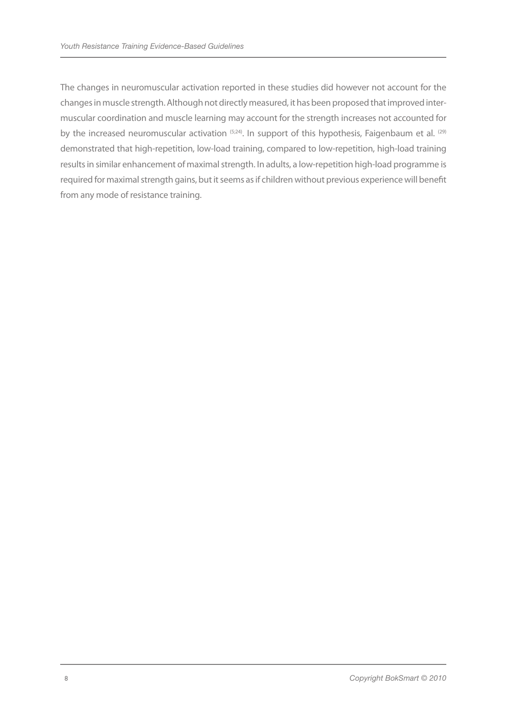The changes in neuromuscular activation reported in these studies did however not account for the changes in muscle strength. Although not directly measured, it has been proposed that improved intermuscular coordination and muscle learning may account for the strength increases not accounted for by the increased neuromuscular activation (5;24). In support of this hypothesis, Faigenbaum et al. (29) demonstrated that high-repetition, low-load training, compared to low-repetition, high-load training results in similar enhancement of maximal strength. In adults, a low-repetition high-load programme is required for maximal strength gains, but it seems as if children without previous experience will benefit from any mode of resistance training.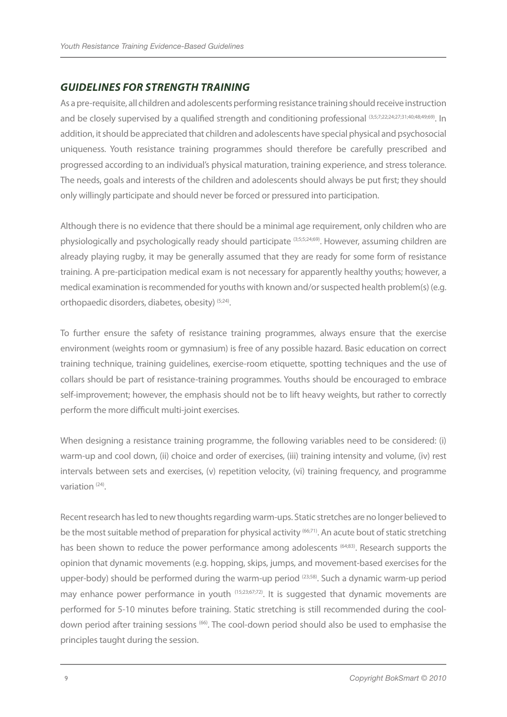# *GUIDELINES FOR STRENGTH TRAINING*

As a pre-requisite, all children and adolescents performing resistance training should receive instruction and be closely supervised by a qualified strength and conditioning professional (3;5;7;22;24;27;31;40;48;49;69). In addition, it should be appreciated that children and adolescents have special physical and psychosocial uniqueness. Youth resistance training programmes should therefore be carefully prescribed and progressed according to an individual's physical maturation, training experience, and stress tolerance. The needs, goals and interests of the children and adolescents should always be put first; they should only willingly participate and should never be forced or pressured into participation.

Although there is no evidence that there should be a minimal age requirement, only children who are physiologically and psychologically ready should participate (3;5;5;24;69). However, assuming children are already playing rugby, it may be generally assumed that they are ready for some form of resistance training. A pre-participation medical exam is not necessary for apparently healthy youths; however, a medical examination is recommended for youths with known and/or suspected health problem(s) (e.g. orthopaedic disorders, diabetes, obesity) (5;24).

To further ensure the safety of resistance training programmes, always ensure that the exercise environment (weights room or gymnasium) is free of any possible hazard. Basic education on correct training technique, training guidelines, exercise-room etiquette, spotting techniques and the use of collars should be part of resistance-training programmes. Youths should be encouraged to embrace self-improvement; however, the emphasis should not be to lift heavy weights, but rather to correctly perform the more difficult multi-joint exercises.

When designing a resistance training programme, the following variables need to be considered: (i) warm-up and cool down, (ii) choice and order of exercises, (iii) training intensity and volume, (iv) rest intervals between sets and exercises, (v) repetition velocity, (vi) training frequency, and programme variation (24).

Recent research has led to new thoughts regarding warm-ups. Static stretches are no longer believed to be the most suitable method of preparation for physical activity (66;71). An acute bout of static stretching has been shown to reduce the power performance among adolescents <sup>(64;83)</sup>. Research supports the opinion that dynamic movements (e.g. hopping, skips, jumps, and movement-based exercises for the upper-body) should be performed during the warm-up period (23;58). Such a dynamic warm-up period may enhance power performance in youth (15;23;67;72). It is suggested that dynamic movements are performed for 5-10 minutes before training. Static stretching is still recommended during the cooldown period after training sessions <sup>(66)</sup>. The cool-down period should also be used to emphasise the principles taught during the session.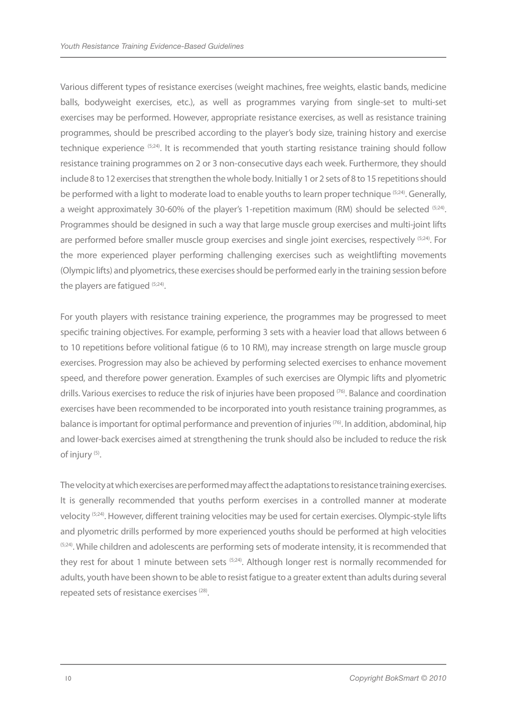Various different types of resistance exercises (weight machines, free weights, elastic bands, medicine balls, bodyweight exercises, etc.), as well as programmes varying from single-set to multi-set exercises may be performed. However, appropriate resistance exercises, as well as resistance training programmes, should be prescribed according to the player's body size, training history and exercise technique experience <sup>(5;24)</sup>. It is recommended that youth starting resistance training should follow resistance training programmes on 2 or 3 non-consecutive days each week. Furthermore, they should include 8 to 12 exercises that strengthen the whole body. Initially 1 or 2 sets of 8 to 15 repetitions should be performed with a light to moderate load to enable youths to learn proper technique <sup>(5;24)</sup>. Generally, a weight approximately 30-60% of the player's 1-repetition maximum (RM) should be selected (5;24). Programmes should be designed in such a way that large muscle group exercises and multi-joint lifts are performed before smaller muscle group exercises and single joint exercises, respectively <sup>(5;24)</sup>. For the more experienced player performing challenging exercises such as weightlifting movements (Olympic lifts) and plyometrics, these exercises should be performed early in the training session before the players are fatigued  $(5,24)$ .

For youth players with resistance training experience, the programmes may be progressed to meet specific training objectives. For example, performing 3 sets with a heavier load that allows between 6 to 10 repetitions before volitional fatigue (6 to 10 RM), may increase strength on large muscle group exercises. Progression may also be achieved by performing selected exercises to enhance movement speed, and therefore power generation. Examples of such exercises are Olympic lifts and plyometric drills. Various exercises to reduce the risk of injuries have been proposed <sup>(76)</sup>. Balance and coordination exercises have been recommended to be incorporated into youth resistance training programmes, as balance is important for optimal performance and prevention of injuries <sup>(76)</sup>. In addition, abdominal, hip and lower-back exercises aimed at strengthening the trunk should also be included to reduce the risk of injury (5).

The velocity at which exercises are performed may affect the adaptations to resistance training exercises. It is generally recommended that youths perform exercises in a controlled manner at moderate velocity (5;24). However, different training velocities may be used for certain exercises. Olympic-style lifts and plyometric drills performed by more experienced youths should be performed at high velocities  $(5,24)$ . While children and adolescents are performing sets of moderate intensity, it is recommended that they rest for about 1 minute between sets <sup>(5;24)</sup>. Although longer rest is normally recommended for adults, youth have been shown to be able to resist fatigue to a greater extent than adults during several repeated sets of resistance exercises (28).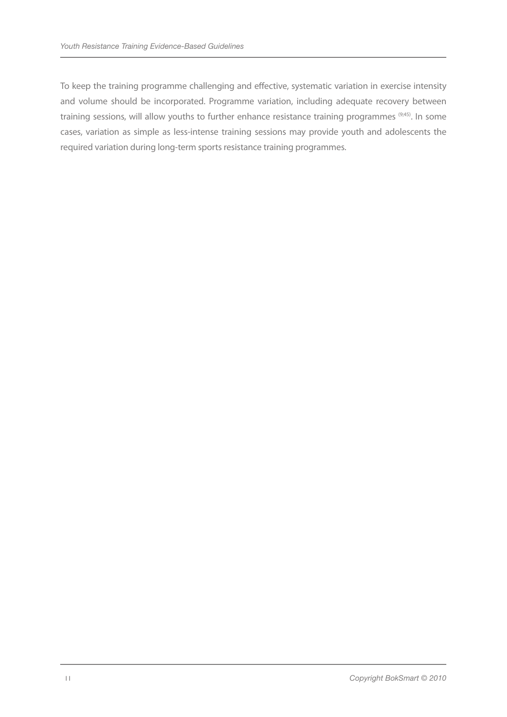To keep the training programme challenging and effective, systematic variation in exercise intensity and volume should be incorporated. Programme variation, including adequate recovery between training sessions, will allow youths to further enhance resistance training programmes (9;45). In some cases, variation as simple as less-intense training sessions may provide youth and adolescents the required variation during long-term sports resistance training programmes.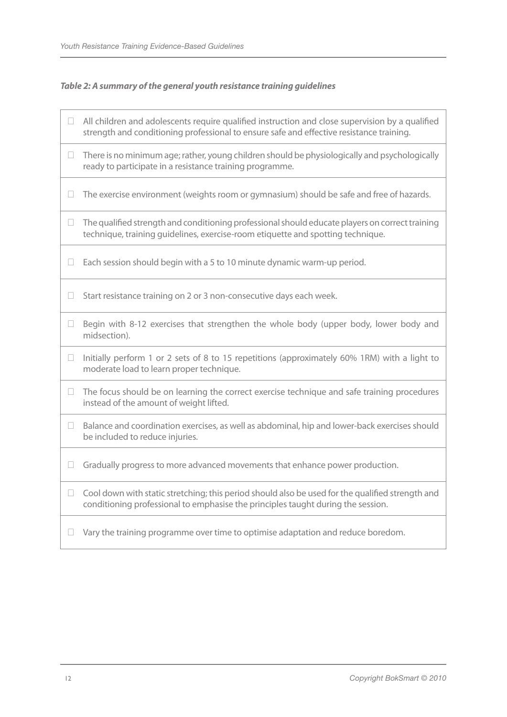#### *Table 2: A summary of the general youth resistance training guidelines*

- $\Box$  All children and adolescents require qualified instruction and close supervision by a qualified strength and conditioning professional to ensure safe and effective resistance training.
- $\Box$  There is no minimum age; rather, young children should be physiologically and psychologically ready to participate in a resistance training programme.
- $\Box$  The exercise environment (weights room or gymnasium) should be safe and free of hazards.
- $\Box$  The qualified strength and conditioning professional should educate players on correct training technique, training guidelines, exercise-room etiquette and spotting technique.
- $\Box$  Each session should begin with a 5 to 10 minute dynamic warm-up period.

 $\Box$  Start resistance training on 2 or 3 non-consecutive days each week.

- $\Box$  Begin with 8-12 exercises that strengthen the whole body (upper body, lower body and midsection).
- $\Box$  Initially perform 1 or 2 sets of 8 to 15 repetitions (approximately 60% 1RM) with a light to moderate load to learn proper technique.
- $\Box$  The focus should be on learning the correct exercise technique and safe training procedures instead of the amount of weight lifted.
- $\Box$  Balance and coordination exercises, as well as abdominal, hip and lower-back exercises should be included to reduce injuries.
- $\Box$  Gradually progress to more advanced movements that enhance power production.
- $\Box$  Cool down with static stretching; this period should also be used for the qualified strength and conditioning professional to emphasise the principles taught during the session.
- $\Box$  Vary the training programme over time to optimise adaptation and reduce boredom.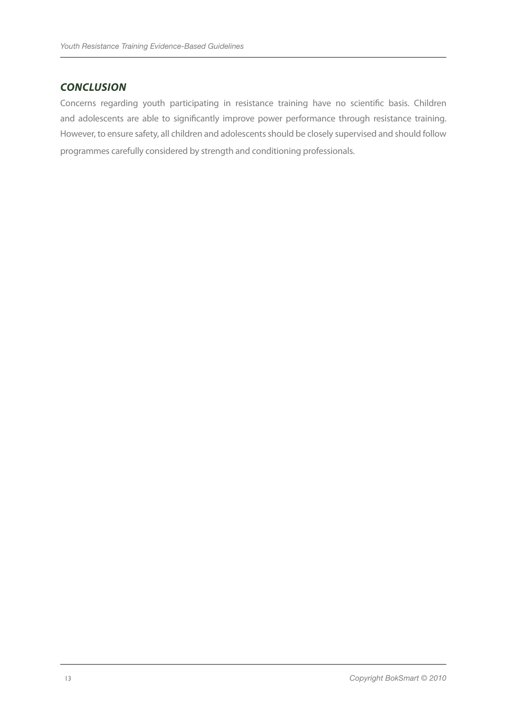# *CONCLUSION*

Concerns regarding youth participating in resistance training have no scientific basis. Children and adolescents are able to significantly improve power performance through resistance training. However, to ensure safety, all children and adolescents should be closely supervised and should follow programmes carefully considered by strength and conditioning professionals.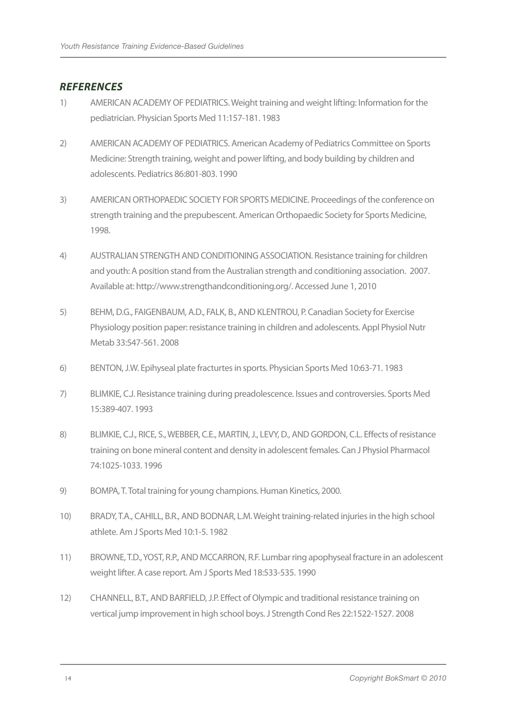#### *REFERENCES*

- 1) AMERICAN ACADEMY OF PEDIATRICS. Weight training and weight lifting: Information for the pediatrician. Physician Sports Med 11:157-181. 1983
- 2) AMERICAN ACADEMY OF PEDIATRICS. American Academy of Pediatrics Committee on Sports Medicine: Strength training, weight and power lifting, and body building by children and adolescents. Pediatrics 86:801-803. 1990
- 3) AMERICAN ORTHOPAEDIC SOCIETY FOR SPORTS MEDICINE. Proceedings of the conference on strength training and the prepubescent. American Orthopaedic Society for Sports Medicine, 1998.
- 4) AUSTRALIAN STRENGTH AND CONDITIONING ASSOCIATION. Resistance training for children and youth: A position stand from the Australian strength and conditioning association. 2007. Available at: http://www.strengthandconditioning.org/. Accessed June 1, 2010
- 5) BEHM, D.G., FAIGENBAUM, A.D., FALK, B., AND KLENTROU, P. Canadian Society for Exercise Physiology position paper: resistance training in children and adolescents. Appl Physiol Nutr Metab 33:547-561. 2008
- 6) BENTON, J.W. Epihyseal plate fracturtes in sports. Physician Sports Med 10:63-71. 1983
- 7) BLIMKIE, C.J. Resistance training during preadolescence. Issues and controversies. Sports Med 15:389-407. 1993
- 8) BLIMKIE, C.J., RICE, S., WEBBER, C.E., MARTIN, J., LEVY, D., AND GORDON, C.L. Effects of resistance training on bone mineral content and density in adolescent females. Can J Physiol Pharmacol 74:1025-1033. 1996
- 9) BOMPA, T. Total training for young champions. Human Kinetics, 2000.
- 10) BRADY, T.A., CAHILL, B.R., AND BODNAR, L.M. Weight training-related injuries in the high school athlete. Am J Sports Med 10:1-5. 1982
- 11) BROWNE, T.D., YOST, R.P., AND MCCARRON, R.F. Lumbar ring apophyseal fracture in an adolescent weight lifter. A case report. Am J Sports Med 18:533-535. 1990
- 12) CHANNELL, B.T., AND BARFIELD, J.P. Effect of Olympic and traditional resistance training on vertical jump improvement in high school boys. J Strength Cond Res 22:1522-1527. 2008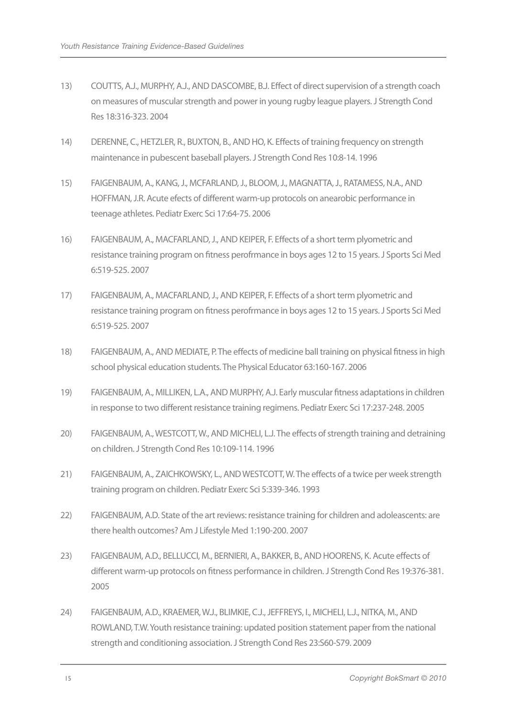- 13) COUTTS, A.J., MURPHY, A.J., AND DASCOMBE, B.J. Effect of direct supervision of a strength coach on measures of muscular strength and power in young rugby league players. J Strength Cond Res 18:316-323. 2004
- 14) DERENNE, C., HETZLER, R., BUXTON, B., AND HO, K. Effects of training frequency on strength maintenance in pubescent baseball players. J Strength Cond Res 10:8-14. 1996
- 15) FAIGENBAUM, A., KANG, J., MCFARLAND, J., BLOOM, J., MAGNATTA, J., RATAMESS, N.A., AND HOFFMAN, J.R. Acute efects of different warm-up protocols on anearobic performance in teenage athletes. Pediatr Exerc Sci 17:64-75. 2006
- 16) FAIGENBAUM, A., MACFARLAND, J., AND KEIPER, F. Effects of a short term plyometric and resistance training program on fitness perofrmance in boys ages 12 to 15 years. J Sports Sci Med 6:519-525. 2007
- 17) FAIGENBAUM, A., MACFARLAND, J., AND KEIPER, F. Effects of a short term plyometric and resistance training program on fitness perofrmance in boys ages 12 to 15 years. J Sports Sci Med 6:519-525. 2007
- 18) FAIGENBAUM, A., AND MEDIATE, P. The effects of medicine ball training on physical fitness in high school physical education students. The Physical Educator 63:160-167. 2006
- 19) FAIGENBAUM, A., MILLIKEN, L.A., AND MURPHY, A.J. Early muscular fitness adaptations in children in response to two different resistance training regimens. Pediatr Exerc Sci 17:237-248. 2005
- 20) FAIGENBAUM, A., WESTCOTT, W., AND MICHELI, L.J. The effects of strength training and detraining on children. J Strength Cond Res 10:109-114. 1996
- 21) FAIGENBAUM, A., ZAICHKOWSKY, L., AND WESTCOTT, W. The effects of a twice per week strength training program on children. Pediatr Exerc Sci 5:339-346. 1993
- 22) FAIGENBAUM, A.D. State of the art reviews: resistance training for children and adoleascents: are there health outcomes? Am J Lifestyle Med 1:190-200. 2007
- 23) FAIGENBAUM, A.D., BELLUCCI, M., BERNIERI, A., BAKKER, B., AND HOORENS, K. Acute effects of different warm-up protocols on fitness performance in children. J Strength Cond Res 19:376-381. 2005
- 24) FAIGENBAUM, A.D., KRAEMER, W.J., BLIMKIE, C.J., JEFFREYS, I., MICHELI, L.J., NITKA, M., AND ROWLAND, T.W. Youth resistance training: updated position statement paper from the national strength and conditioning association. J Strength Cond Res 23:S60-S79. 2009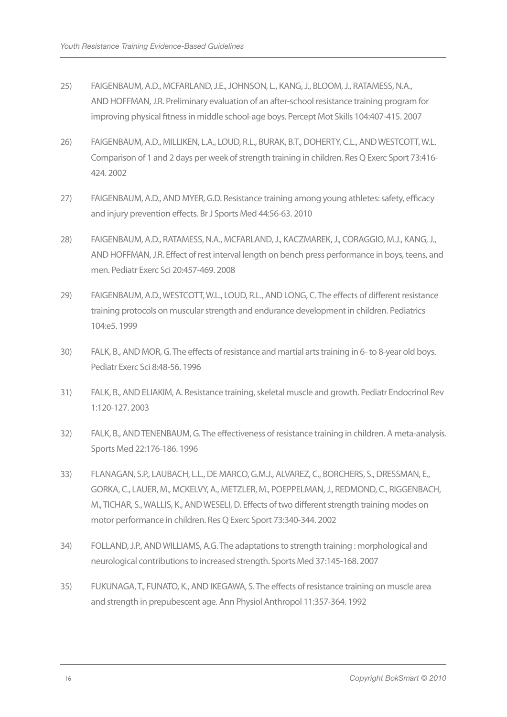- 25) FAIGENBAUM, A.D., MCFARLAND, J.E., JOHNSON, L., KANG, J., BLOOM, J., RATAMESS, N.A., AND HOFFMAN, J.R. Preliminary evaluation of an after-school resistance training program for improving physical fitness in middle school-age boys. Percept Mot Skills 104:407-415. 2007
- 26) FAIGENBAUM, A.D., MILLIKEN, L.A., LOUD, R.L., BURAK, B.T., DOHERTY, C.L., AND WESTCOTT, W.L. Comparison of 1 and 2 days per week of strength training in children. Res Q Exerc Sport 73:416- 424. 2002
- 27) FAIGENBAUM, A.D., AND MYER, G.D. Resistance training among young athletes: safety, efficacy and injury prevention effects. Br J Sports Med 44:56-63. 2010
- 28) FAIGENBAUM, A.D., RATAMESS, N.A., MCFARLAND, J., KACZMAREK, J., CORAGGIO, M.J., KANG, J., AND HOFFMAN, J.R. Effect of rest interval length on bench press performance in boys, teens, and men. Pediatr Exerc Sci 20:457-469. 2008
- 29) FAIGENBAUM, A.D., WESTCOTT, W.L., LOUD, R.L., AND LONG, C. The effects of different resistance training protocols on muscular strength and endurance development in children. Pediatrics 104:e5. 1999
- 30) FALK, B., AND MOR, G. The effects of resistance and martial arts training in 6- to 8-year old boys. Pediatr Exerc Sci 8:48-56. 1996
- 31) FALK, B., AND ELIAKIM, A. Resistance training, skeletal muscle and growth. Pediatr Endocrinol Rev 1:120-127. 2003
- 32) FALK, B., AND TENENBAUM, G. The effectiveness of resistance training in children. A meta-analysis. Sports Med 22:176-186. 1996
- 33) FLANAGAN, S.P., LAUBACH, L.L., DE MARCO, G.M.J., ALVAREZ, C., BORCHERS, S., DRESSMAN, E., GORKA, C., LAUER, M., MCKELVY, A., METZLER, M., POEPPELMAN, J., REDMOND, C., RIGGENBACH, M., TICHAR, S., WALLIS, K., AND WESELI, D. Effects of two different strength training modes on motor performance in children. Res Q Exerc Sport 73:340-344. 2002
- 34) FOLLAND, J.P., AND WILLIAMS, A.G. The adaptations to strength training : morphological and neurological contributions to increased strength. Sports Med 37:145-168. 2007
- 35) FUKUNAGA, T., FUNATO, K., AND IKEGAWA, S. The effects of resistance training on muscle area and strength in prepubescent age. Ann Physiol Anthropol 11:357-364. 1992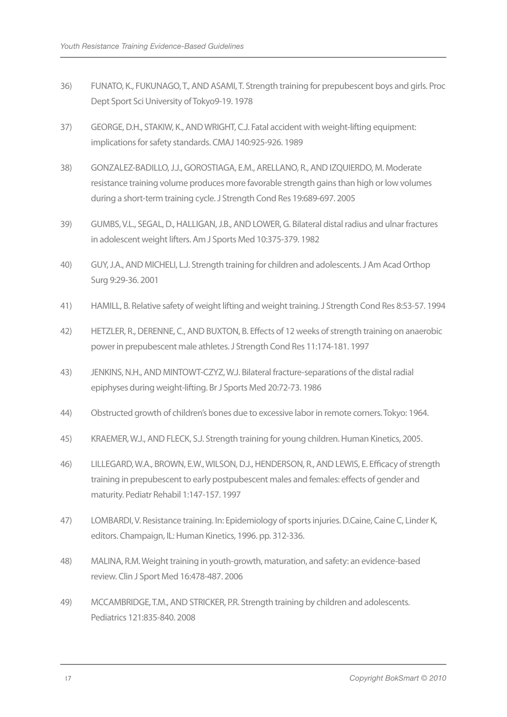- 36) FUNATO, K., FUKUNAGO, T., AND ASAMI, T. Strength training for prepubescent boys and girls. Proc Dept Sport Sci University of Tokyo9-19. 1978
- 37) GEORGE, D.H., STAKIW, K., AND WRIGHT, C.J. Fatal accident with weight-lifting equipment: implications for safety standards. CMAJ 140:925-926. 1989
- 38) GONZALEZ-BADILLO, J.J., GOROSTIAGA, E.M., ARELLANO, R., AND IZQUIERDO, M. Moderate resistance training volume produces more favorable strength gains than high or low volumes during a short-term training cycle. J Strength Cond Res 19:689-697. 2005
- 39) GUMBS, V.L., SEGAL, D., HALLIGAN, J.B., AND LOWER, G. Bilateral distal radius and ulnar fractures in adolescent weight lifters. Am J Sports Med 10:375-379. 1982
- 40) GUY, J.A., AND MICHELI, L.J. Strength training for children and adolescents. J Am Acad Orthop Surg 9:29-36. 2001
- 41) HAMILL, B. Relative safety of weight lifting and weight training. J Strength Cond Res 8:53-57. 1994
- 42) HETZLER, R., DERENNE, C., AND BUXTON, B. Effects of 12 weeks of strength training on anaerobic power in prepubescent male athletes. J Strength Cond Res 11:174-181. 1997
- 43) JENKINS, N.H., AND MINTOWT-CZYZ, W.J. Bilateral fracture-separations of the distal radial epiphyses during weight-lifting. Br J Sports Med 20:72-73. 1986
- 44) Obstructed growth of children's bones due to excessive labor in remote corners. Tokyo: 1964.
- 45) KRAEMER, W.J., AND FLECK, S.J. Strength training for young children. Human Kinetics, 2005.
- 46) LILLEGARD, W.A., BROWN, E.W., WILSON, D.J., HENDERSON, R., AND LEWIS, E. Efficacy of strength training in prepubescent to early postpubescent males and females: effects of gender and maturity. Pediatr Rehabil 1:147-157. 1997
- 47) LOMBARDI, V. Resistance training. In: Epidemiology of sports injuries. D.Caine, Caine C, Linder K, editors. Champaign, IL: Human Kinetics, 1996. pp. 312-336.
- 48) MALINA, R.M. Weight training in youth-growth, maturation, and safety: an evidence-based review. Clin J Sport Med 16:478-487. 2006
- 49) MCCAMBRIDGE, T.M., AND STRICKER, P.R. Strength training by children and adolescents. Pediatrics 121:835-840. 2008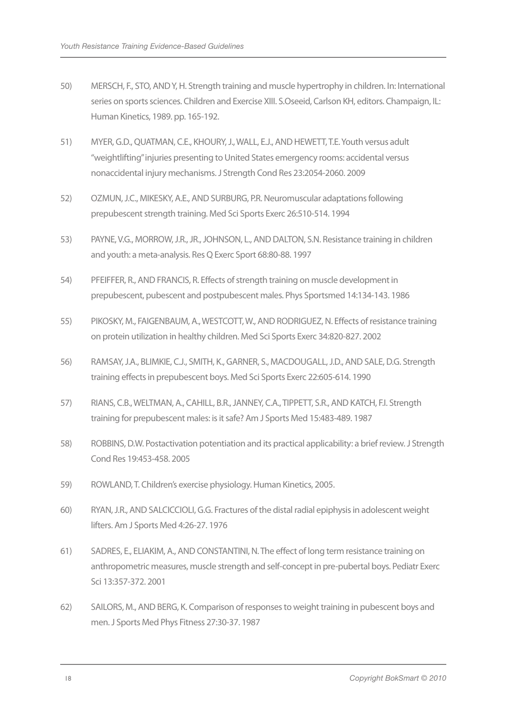- 50) MERSCH, F., STO, AND Y, H. Strength training and muscle hypertrophy in children. In: International series on sports sciences. Children and Exercise XIII. S.Oseeid, Carlson KH, editors. Champaign, IL: Human Kinetics, 1989. pp. 165-192.
- 51) MYER, G.D., QUATMAN, C.E., KHOURY, J., WALL, E.J., AND HEWETT, T.E. Youth versus adult "weightlifting" injuries presenting to United States emergency rooms: accidental versus nonaccidental injury mechanisms. J Strength Cond Res 23:2054-2060. 2009
- 52) OZMUN, J.C., MIKESKY, A.E., AND SURBURG, P.R. Neuromuscular adaptations following prepubescent strength training. Med Sci Sports Exerc 26:510-514. 1994
- 53) PAYNE, V.G., MORROW, J.R., JR., JOHNSON, L., AND DALTON, S.N. Resistance training in children and youth: a meta-analysis. Res Q Exerc Sport 68:80-88. 1997
- 54) PFEIFFER, R., AND FRANCIS, R. Effects of strength training on muscle development in prepubescent, pubescent and postpubescent males. Phys Sportsmed 14:134-143. 1986
- 55) PIKOSKY, M., FAIGENBAUM, A., WESTCOTT, W., AND RODRIGUEZ, N. Effects of resistance training on protein utilization in healthy children. Med Sci Sports Exerc 34:820-827. 2002
- 56) RAMSAY, J.A., BLIMKIE, C.J., SMITH, K., GARNER, S., MACDOUGALL, J.D., AND SALE, D.G. Strength training effects in prepubescent boys. Med Sci Sports Exerc 22:605-614. 1990
- 57) RIANS, C.B., WELTMAN, A., CAHILL, B.R., JANNEY, C.A., TIPPETT, S.R., AND KATCH, F.I. Strength training for prepubescent males: is it safe? Am J Sports Med 15:483-489. 1987
- 58) ROBBINS, D.W. Postactivation potentiation and its practical applicability: a brief review. J Strength Cond Res 19:453-458. 2005
- 59) ROWLAND, T. Children's exercise physiology. Human Kinetics, 2005.
- 60) RYAN, J.R., AND SALCICCIOLI, G.G. Fractures of the distal radial epiphysis in adolescent weight lifters. Am J Sports Med 4:26-27. 1976
- 61) SADRES, E., ELIAKIM, A., AND CONSTANTINI, N. The effect of long term resistance training on anthropometric measures, muscle strength and self-concept in pre-pubertal boys. Pediatr Exerc Sci 13:357-372. 2001
- 62) SAILORS, M., AND BERG, K. Comparison of responses to weight training in pubescent boys and men. J Sports Med Phys Fitness 27:30-37. 1987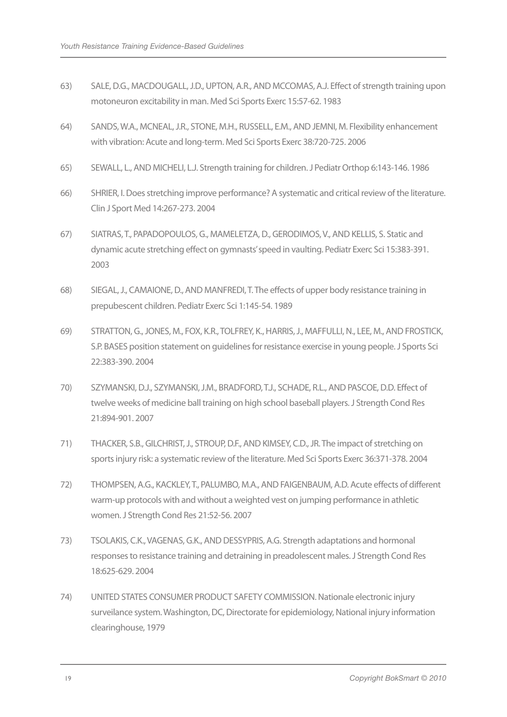- 63) SALE, D.G., MACDOUGALL, J.D., UPTON, A.R., AND MCCOMAS, A.J. Effect of strength training upon motoneuron excitability in man. Med Sci Sports Exerc 15:57-62. 1983
- 64) SANDS, W.A., MCNEAL, J.R., STONE, M.H., RUSSELL, E.M., AND JEMNI, M. Flexibility enhancement with vibration: Acute and long-term. Med Sci Sports Exerc 38:720-725. 2006
- 65) SEWALL, L., AND MICHELI, L.J. Strength training for children. J Pediatr Orthop 6:143-146. 1986
- 66) SHRIER, I. Does stretching improve performance? A systematic and critical review of the literature. Clin J Sport Med 14:267-273. 2004
- 67) SIATRAS, T., PAPADOPOULOS, G., MAMELETZA, D., GERODIMOS, V., AND KELLIS, S. Static and dynamic acute stretching effect on gymnasts' speed in vaulting. Pediatr Exerc Sci 15:383-391. 2003
- 68) SIEGAL, J., CAMAIONE, D., AND MANFREDI, T. The effects of upper body resistance training in prepubescent children. Pediatr Exerc Sci 1:145-54. 1989
- 69) STRATTON, G., JONES, M., FOX, K.R., TOLFREY, K., HARRIS, J., MAFFULLI, N., LEE, M., AND FROSTICK, S.P. BASES position statement on guidelines for resistance exercise in young people. J Sports Sci 22:383-390. 2004
- 70) SZYMANSKI, D.J., SZYMANSKI, J.M., BRADFORD, T.J., SCHADE, R.L., AND PASCOE, D.D. Effect of twelve weeks of medicine ball training on high school baseball players. J Strength Cond Res 21:894-901. 2007
- 71) THACKER, S.B., GILCHRIST, J., STROUP, D.F., AND KIMSEY, C.D., JR. The impact of stretching on sports injury risk: a systematic review of the literature. Med Sci Sports Exerc 36:371-378. 2004
- 72) THOMPSEN, A.G., KACKLEY, T., PALUMBO, M.A., AND FAIGENBAUM, A.D. Acute effects of different warm-up protocols with and without a weighted vest on jumping performance in athletic women. J Strength Cond Res 21:52-56. 2007
- 73) TSOLAKIS, C.K., VAGENAS, G.K., AND DESSYPRIS, A.G. Strength adaptations and hormonal responses to resistance training and detraining in preadolescent males. J Strength Cond Res 18:625-629. 2004
- 74) UNITED STATES CONSUMER PRODUCT SAFETY COMMISSION. Nationale electronic injury surveilance system. Washington, DC, Directorate for epidemiology, National injury information clearinghouse, 1979